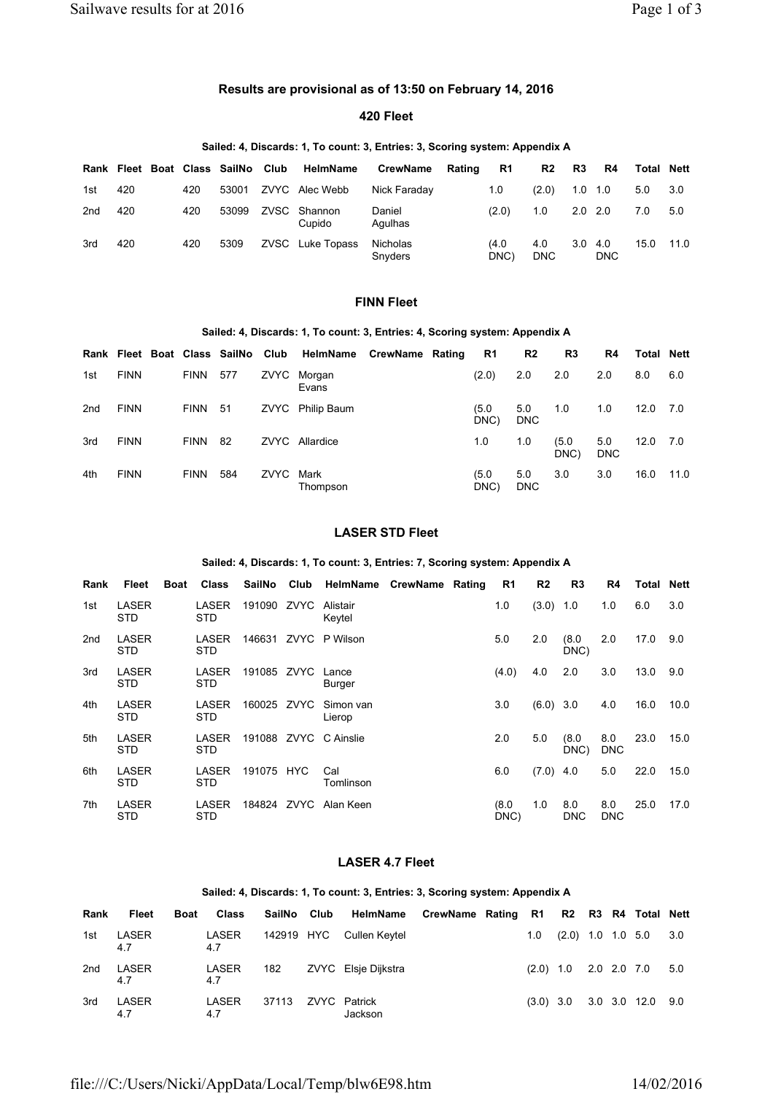# **Results are provisional as of 13:50 on February 14, 2016**

## **420 Fleet**

### **Sailed: 4, Discards: 1, To count: 3, Entries: 3, Scoring system: Appendix A**

|                 |     |     |       | Rank Fleet Boat Class SailNo Club HelmName | <b>CrewName</b>            | Rating | R1           | R <sub>2</sub>    | R3        | R4                | <b>Total Nett</b> |      |
|-----------------|-----|-----|-------|--------------------------------------------|----------------------------|--------|--------------|-------------------|-----------|-------------------|-------------------|------|
| 1st             | 420 | 420 | 53001 | ZVYC Alec Webb                             | Nick Faraday               |        | 1.0          | (2.0)             | 1.0       | 1.0               | 5.0               | 3.0  |
| 2 <sub>nd</sub> | 420 | 420 | 53099 | ZVSC Shannon<br>Cupido                     | Daniel<br>Agulhas          |        | (2.0)        | 1.0               | $2.0$ 2.0 |                   | 7.0               | 5.0  |
| 3rd             | 420 | 420 | 5309  | ZVSC Luke Topass                           | <b>Nicholas</b><br>Snyders |        | (4.0<br>DNC) | 4.0<br><b>DNC</b> | 3.0       | 4.0<br><b>DNC</b> | 15.0              | 11.0 |

# **FINN Fleet**

#### **Sailed: 4, Discards: 1, To count: 3, Entries: 4, Scoring system: Appendix A**

|     |             |             |     |      | Rank Fleet Boat Class SailNo Club HelmName CrewName Rating |  | <b>R1</b>    | R <sub>2</sub>    | R3            | R4                | <b>Total Nett</b> |      |
|-----|-------------|-------------|-----|------|------------------------------------------------------------|--|--------------|-------------------|---------------|-------------------|-------------------|------|
| 1st | <b>FINN</b> | <b>FINN</b> | 577 | ZVYC | Morgan<br>Evans                                            |  | (2.0)        | 2.0               | 2.0           | 2.0               | 8.0               | 6.0  |
| 2nd | <b>FINN</b> | <b>FINN</b> | -51 | ZVYC | <b>Philip Baum</b>                                         |  | (5.0<br>DNC) | 5.0<br><b>DNC</b> | 1.0           | 1.0               | 12.0              | 7.0  |
| 3rd | <b>FINN</b> | <b>FINN</b> | -82 |      | ZVYC Allardice                                             |  | 1.0          | 1.0               | (5.0)<br>DNC) | 5.0<br><b>DNC</b> | 12.0              | 7.0  |
| 4th | <b>FINN</b> | <b>FINN</b> | 584 | ZVYC | Mark<br>Thompson                                           |  | (5.0<br>DNC) | 5.0<br><b>DNC</b> | 3.0           | 3.0               | 16.0              | 11.0 |

## **LASER STD Fleet**

### **Sailed: 4, Discards: 1, To count: 3, Entries: 7, Scoring system: Appendix A**

| Rank | Fleet               | Boat | <b>Class</b>        | SailNo Club       | HelmName CrewName Rating |  | R1            | R <sub>2</sub> | R <sub>3</sub>    | R4                | <b>Total Nett</b> |      |
|------|---------------------|------|---------------------|-------------------|--------------------------|--|---------------|----------------|-------------------|-------------------|-------------------|------|
| 1st  | LASER<br>STD.       |      | LASER<br><b>STD</b> | 191090 ZVYC       | Alistair<br>Keytel       |  | 1.0           | $(3.0)$ 1.0    |                   | 1.0               | 6.0               | 3.0  |
| 2nd  | LASER<br>STD.       |      | LASER<br>STD.       |                   | 146631 ZVYC P Wilson     |  | 5.0           | 2.0            | (8.0)<br>DNC)     | 2.0               | 17.0              | 9.0  |
| 3rd  | <b>LASER</b><br>STD |      | LASER<br>STD.       | 191085 ZVYC Lance | Burger                   |  | (4.0)         | 4.0            | 2.0               | 3.0               | 13.0              | 9.0  |
| 4th  | <b>LASER</b><br>STD |      | LASER<br>STD.       | 160025 ZVYC       | Simon van<br>Lierop      |  | 3.0           | $(6.0)$ 3.0    |                   | 4.0               | 16.0              | 10.0 |
| 5th  | LASER<br>STD.       |      | LASER<br>STD.       |                   | 191088 ZVYC C Ainslie    |  | 2.0           | 5.0            | (8.0)<br>DNC)     | 8.0<br><b>DNC</b> | 23.0              | 15.0 |
| 6th  | LASER<br>STD.       |      | LASER<br>STD.       | 191075 HYC        | Cal<br>Tomlinson         |  | 6.0           | $(7.0)$ 4.0    |                   | 5.0               | 22.0              | 15.0 |
| 7th  | <b>LASER</b><br>STD |      | LASER<br>STD.       |                   | 184824 ZVYC Alan Keen    |  | (8.0)<br>DNC) | 1.0            | 8.0<br><b>DNC</b> | 8.0<br><b>DNC</b> | 25.0              | 17.0 |

# **LASER 4.7 Fleet**

#### **Sailed: 4, Discards: 1, To count: 3, Entries: 3, Scoring system: Appendix A**

| Rank | Fleet        | <b>Boat</b> | Class        |            | SailNo Club HelmName CrewName Rating R1 R2 R3 R4 Total Nett |  |     |                         |  |                              |     |
|------|--------------|-------------|--------------|------------|-------------------------------------------------------------|--|-----|-------------------------|--|------------------------------|-----|
| 1st  | LASER<br>4.7 |             | LASER<br>4.7 | 142919 HYC | Cullen Keytel                                               |  | 1.0 | $(2.0)$ 1.0 1.0 5.0     |  |                              | 3.0 |
| 2nd  | LASER<br>4.7 |             | LASER<br>4.7 | 182        | ZVYC Elsie Dijkstra                                         |  |     | $(2.0)$ 1.0 2.0 2.0 7.0 |  |                              | 5.0 |
| 3rd  | LASER<br>4.7 |             | LASER<br>4.7 | 37113      | ZVYC Patrick<br>Jackson                                     |  |     |                         |  | $(3.0)$ 3.0 3.0 3.0 12.0 9.0 |     |

file:///C:/Users/Nicki/AppData/Local/Temp/blw6E98.htm 14/02/2016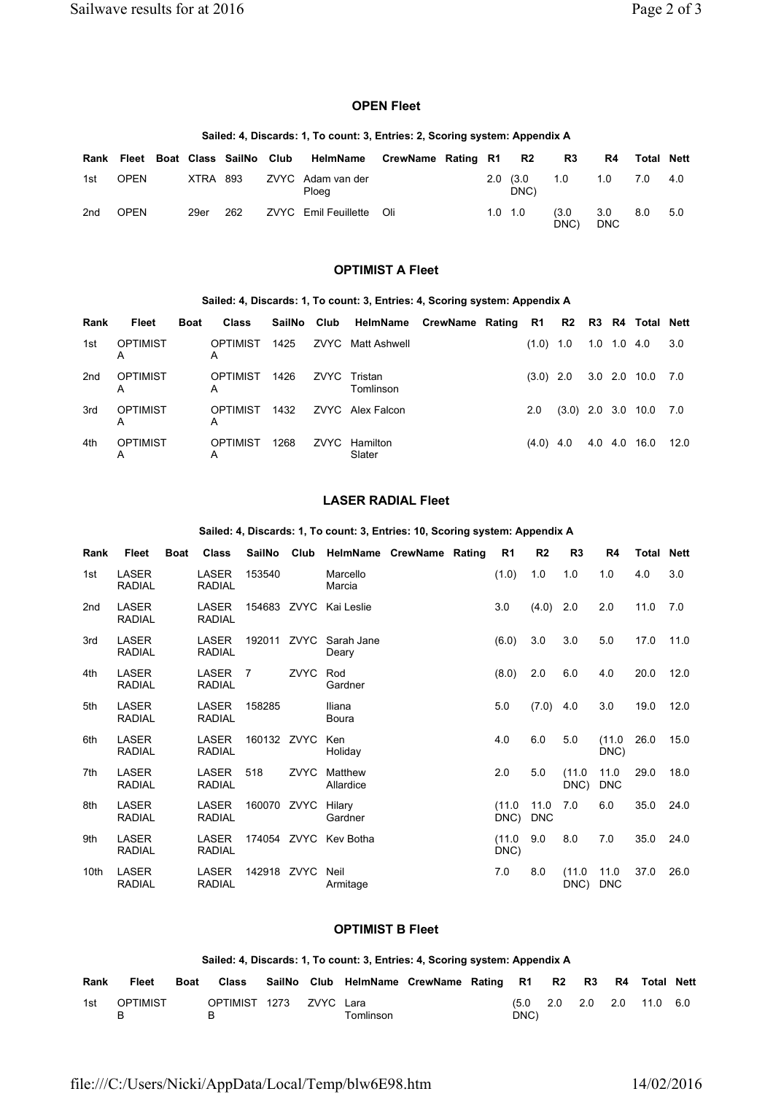#### **OPEN Fleet**

### **Sailed: 4, Discards: 1, To count: 3, Entries: 2, Scoring system: Appendix A**

| Rank            |             |          |     | Fleet Boat Class SailNo Club HelmName | CrewName Rating R1 R2 |                 |                           | R3            | R4                | Total Nett |     |
|-----------------|-------------|----------|-----|---------------------------------------|-----------------------|-----------------|---------------------------|---------------|-------------------|------------|-----|
| 1st             | <b>OPEN</b> | XTRA 893 |     | ZVYC Adam van der<br>Ploeg            |                       |                 | $2.0 \quad (3.0)$<br>DNC) | 1.0           | 1.0               | 7.0        | 4.0 |
| 2 <sub>nd</sub> | <b>OPEN</b> | 29er     | 262 | ZVYC Emil Feuillette Oli              |                       | $1.0 \quad 1.0$ |                           | (3.0)<br>DNC) | 3.0<br><b>DNC</b> | 8.0        | 5.0 |

### **OPTIMIST A Fleet**

### **Sailed: 4, Discards: 1, To count: 3, Entries: 4, Scoring system: Appendix A**

| Rank | Fleet                | <b>Boat</b> | Class                |      | SailNo Club HelmName CrewName Rating R1 R2 R3 R4 Total Nett |  |             |             |                          |      |
|------|----------------------|-------------|----------------------|------|-------------------------------------------------------------|--|-------------|-------------|--------------------------|------|
| 1st  | <b>OPTIMIST</b><br>А |             | <b>OPTIMIST</b><br>А | 1425 | ZVYC Matt Ashwell                                           |  | $(1.0)$ 1.0 | 1.0 1.0 4.0 |                          | 3.0  |
| 2nd  | <b>OPTIMIST</b><br>А |             | <b>OPTIMIST</b><br>A | 1426 | ZVYC Tristan<br>Tomlinson                                   |  | $(3.0)$ 2.0 |             | 3.0 2.0 10.0 7.0         |      |
| 3rd  | OPTIMIST<br>A        |             | <b>OPTIMIST</b><br>A | 1432 | ZVYC Alex Falcon                                            |  | 2.0         |             | $(3.0)$ 2.0 3.0 10.0 7.0 |      |
| 4th  | OPTIMIST<br>Α        |             | <b>OPTIMIST</b><br>A | 1268 | ZVYC Hamilton<br>Slater                                     |  | $(4.0)$ 4.0 |             | 4.0 4.0 16.0             | 12.0 |

## **LASER RADIAL Fleet**

#### **Sailed: 4, Discards: 1, To count: 3, Entries: 10, Scoring system: Appendix A**

| Rank            | Fleet                         | <b>Boat</b> | <b>Class</b>                  | SailNo      |             | Club HelmName CrewName Rating   |  | R <sub>1</sub> | R <sub>2</sub>     | R <sub>3</sub> | R4                 | <b>Total Nett</b> |      |
|-----------------|-------------------------------|-------------|-------------------------------|-------------|-------------|---------------------------------|--|----------------|--------------------|----------------|--------------------|-------------------|------|
| 1st             | <b>LASER</b><br><b>RADIAL</b> |             | LASER<br><b>RADIAL</b>        | 153540      |             | Marcello<br>Marcia              |  | (1.0)          | 1.0                | 1.0            | 1.0                | 4.0               | 3.0  |
| 2 <sub>nd</sub> | LASER<br><b>RADIAL</b>        |             | LASER<br><b>RADIAL</b>        |             |             | 154683 ZVYC Kai Leslie          |  | 3.0            | $(4.0)$ 2.0        |                | 2.0                | 11.0              | 7.0  |
| 3rd             | LASER<br><b>RADIAL</b>        |             | <b>LASER</b><br><b>RADIAL</b> |             |             | 192011 ZVYC Sarah Jane<br>Deary |  | (6.0)          | 3.0                | 3.0            | 5.0                | 17.0              | 11.0 |
| 4th             | <b>LASER</b><br><b>RADIAL</b> |             | LASER<br><b>RADIAL</b>        | -7          | ZVYC        | Rod<br>Gardner                  |  | (8.0)          | 2.0                | 6.0            | 4.0                | 20.0              | 12.0 |
| 5th             | <b>LASER</b><br><b>RADIAL</b> |             | <b>LASER</b><br><b>RADIAL</b> | 158285      |             | Iliana<br>Boura                 |  | 5.0            | (7.0)              | 4.0            | 3.0                | 19.0              | 12.0 |
| 6th             | LASER<br><b>RADIAL</b>        |             | LASER<br><b>RADIAL</b>        | 160132 ZVYC |             | Ken<br>Holiday                  |  | 4.0            | 6.0                | 5.0            | (11.0)<br>DNC)     | 26.0              | 15.0 |
| 7th             | LASER<br><b>RADIAL</b>        |             | LASER<br><b>RADIAL</b>        | 518         | <b>ZVYC</b> | Matthew<br>Allardice            |  | 2.0            | 5.0                | (11.0)<br>DNC) | 11.0<br><b>DNC</b> | 29.0              | 18.0 |
| 8th             | <b>LASER</b><br><b>RADIAL</b> |             | <b>LASER</b><br><b>RADIAL</b> | 160070 ZVYC |             | Hilary<br>Gardner               |  | (11.0)<br>DNC) | 11.0<br><b>DNC</b> | 7.0            | 6.0                | 35.0              | 24.0 |
| 9th             | <b>LASER</b><br><b>RADIAL</b> |             | <b>LASER</b><br><b>RADIAL</b> |             |             | 174054 ZVYC Key Botha           |  | (11.0)<br>DNC) | 9.0                | 8.0            | 7.0                | 35.0              | 24.0 |
| 10th            | LASER<br><b>RADIAL</b>        |             | LASER<br><b>RADIAL</b>        | 142918 ZVYC |             | Neil<br>Armitage                |  | 7.0            | 8.0                | (11.0)<br>DNC) | 11.0<br><b>DNC</b> | 37.0              | 26.0 |

## **OPTIMIST B Fleet**

### **Sailed: 4, Discards: 1, To count: 3, Entries: 4, Scoring system: Appendix A**

| Rank | <b>Fleet</b>    | <b>Boat</b> | <b>Class</b>            |  | SailNo Club HelmName CrewName Rating R1 R2 R3 |  |      |  | R4 Total Nett                         |  |
|------|-----------------|-------------|-------------------------|--|-----------------------------------------------|--|------|--|---------------------------------------|--|
| 1st  | <b>OPTIMIST</b> |             | OPTIMIST 1273 ZVYC Lara |  | Tomlinson                                     |  | DNC) |  | $(5.0 \t2.0 \t2.0 \t2.0 \t11.0 \t6.0$ |  |

file:///C:/Users/Nicki/AppData/Local/Temp/blw6E98.htm 14/02/2016